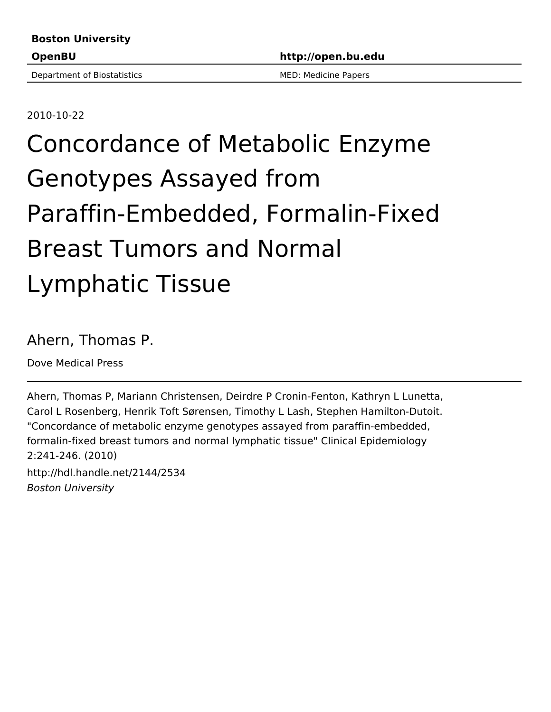Department of Biostatistics MED: MED: Medicine Papers

2010-10-22

# Concordance of Metabolic Enzyme Genotypes Assayed from Paraffin-Embedded, Formalin-Fixed Breast Tumors and Normal Lymphatic Tissue

# Ahern, Thomas P.

Dove Medical Press

Ahern, Thomas P, Mariann Christensen, Deirdre P Cronin-Fenton, Kathryn L Lunetta, Carol L Rosenberg, Henrik Toft Sørensen, Timothy L Lash, Stephen Hamilton-Dutoit. "Concordance of metabolic enzyme genotypes assayed from paraffin-embedded, formalin-fixed breast tumors and normal lymphatic tissue" Clinical Epidemiology 2:241-246. (2010) http://hdl.handle.net/2144/2534 Boston University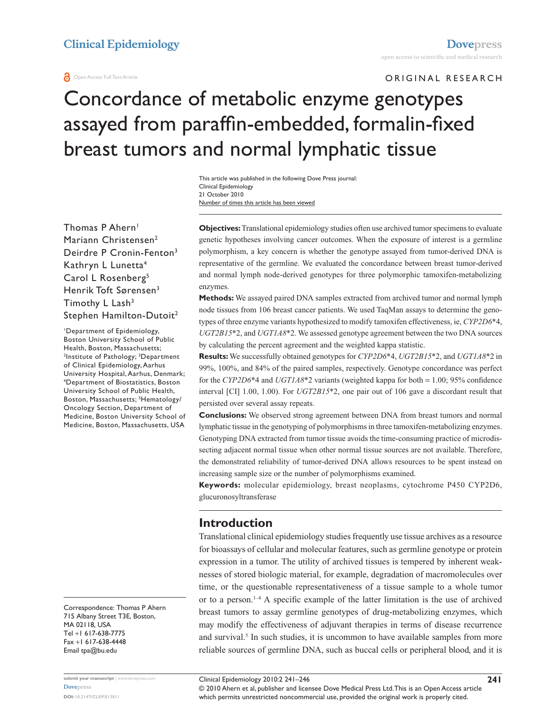#### **a** Open Access Full Text Article

ORIGINAL RESEARCH

# Concordance of metabolic enzyme genotypes assayed from paraffin-embedded, formalin-fixed breast tumors and normal lymphatic tissue

Number of times this article has been viewed This article was published in the following Dove Press journal: Clinical Epidemiology 21 October 2010

Thomas P Ahern<sup>1</sup> Mariann Christensen<sup>2</sup> Deirdre P Cronin-Fenton<sup>3</sup> Kathryn L Lunetta4 Carol L Rosenberg<sup>5</sup> Henrik Toft Sørensen<sup>3</sup> Timothy L Lash<sup>3</sup> Stephen Hamilton-Dutoit<sup>2</sup>

1 Department of Epidemiology, Boston University School of Public Health, Boston, Massachusetts; <sup>2</sup>Institute of Pathology; <sup>3</sup>Department of Clinical Epidemiology, Aarhus University Hospital, Aarhus, Denmark; 4 Department of Biostatistics, Boston University School of Public Health, Boston, Massachusetts; <sup>5</sup>Hematology/ Oncology Section, Department of Medicine, Boston University School of Medicine, Boston, Massachusetts, USA

Correspondence: Thomas P Ahern 715 Albany Street T3E, Boston, MA 02118, USA Tel +1 617-638-7775 Fax +1 617-638-4448 Email [tpa@bu.edu](mailto:tpa@bu.edu)

**submit your manuscript** | <www.dovepress.com> **[Dovepress](www.dovepress.com) DOI: 10.2147/CLEP.S13811**

**Objectives:** Translational epidemiology studies often use archived tumor specimens to evaluate genetic hypotheses involving cancer outcomes. When the exposure of interest is a germline polymorphism, a key concern is whether the genotype assayed from tumor-derived DNA is representative of the germline. We evaluated the concordance between breast tumor-derived and normal lymph node-derived genotypes for three polymorphic tamoxifen-metabolizing enzymes.

**Methods:** We assayed paired DNA samples extracted from archived tumor and normal lymph node tissues from 106 breast cancer patients. We used TaqMan assays to determine the genotypes of three enzyme variants hypothesized to modify tamoxifen effectiveness, ie, *CYP2D6*\*4, *UGT2B15*\*2, and *UGT1A8*\*2. We assessed genotype agreement between the two DNA sources by calculating the percent agreement and the weighted kappa statistic.

**Results:** We successfully obtained genotypes for *CYP2D6*\*4, *UGT2B15*\*2, and *UGT1A8*\*2 in 99%, 100%, and 84% of the paired samples, respectively. Genotype concordance was perfect for the *CYP2D6*\*4 and *UGT1A8*\*2 variants (weighted kappa for both = 1.00; 95% confidence interval [CI] 1.00, 1.00). For *UGT2B15*\*2, one pair out of 106 gave a discordant result that persisted over several assay repeats.

**Conclusions:** We observed strong agreement between DNA from breast tumors and normal lymphatic tissue in the genotyping of polymorphisms in three tamoxifen-metabolizing enzymes. Genotyping DNA extracted from tumor tissue avoids the time-consuming practice of microdissecting adjacent normal tissue when other normal tissue sources are not available. Therefore, the demonstrated reliability of tumor-derived DNA allows resources to be spent instead on increasing sample size or the number of polymorphisms examined.

**Keywords:** molecular epidemiology, breast neoplasms, cytochrome P450 CYP2D6, glucuronosyltransferase

#### **Introduction**

Translational clinical epidemiology studies frequently use tissue archives as a resource for bioassays of cellular and molecular features, such as germline genotype or protein expression in a tumor. The utility of archived tissues is tempered by inherent weaknesses of stored biologic material, for example, degradation of macromolecules over time, or the questionable representativeness of a tissue sample to a whole tumor or to a person. $1-4$  A specific example of the latter limitation is the use of archived breast tumors to assay germline genotypes of drug-metabolizing enzymes, which may modify the effectiveness of adjuvant therapies in terms of disease recurrence and survival.<sup>5</sup> In such studies, it is uncommon to have available samples from more reliable sources of germline DNA, such as buccal cells or peripheral blood, and it is

Clinical Epidemiology 2010:2 241–246

© 2010 Ahern et al, publisher and licensee Dove Medical Press Ltd. This is an Open Access article which permits unrestricted noncommercial use, provided the original work is properly cited.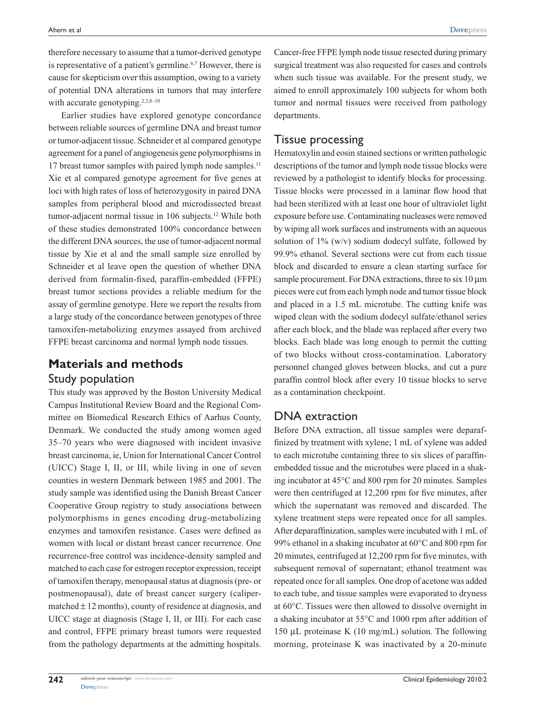therefore necessary to assume that a tumor-derived genotype is representative of a patient's germline.<sup>6,7</sup> However, there is cause for skepticism over this assumption, owing to a variety of potential DNA alterations in tumors that may interfere with accurate genotyping.<sup>2,3,8-10</sup>

Earlier studies have explored genotype concordance between reliable sources of germline DNA and breast tumor or tumor-adjacent tissue. Schneider et al compared genotype agreement for a panel of angiogenesis gene polymorphisms in 17 breast tumor samples with paired lymph node samples.<sup>11</sup> Xie et al compared genotype agreement for five genes at loci with high rates of loss of heterozygosity in paired DNA samples from peripheral blood and microdissected breast tumor-adjacent normal tissue in 106 subjects.<sup>12</sup> While both of these studies demonstrated 100% concordance between the different DNA sources, the use of tumor-adjacent normal tissue by Xie et al and the small sample size enrolled by Schneider et al leave open the question of whether DNA derived from formalin-fixed, paraffin-embedded (FFPE) breast tumor sections provides a reliable medium for the assay of germline genotype. Here we report the results from a large study of the concordance between genotypes of three tamoxifen-metabolizing enzymes assayed from archived FFPE breast carcinoma and normal lymph node tissues.

# **Materials and methods**

#### Study population

This study was approved by the Boston University Medical Campus Institutional Review Board and the Regional Committee on Biomedical Research Ethics of Aarhus County, Denmark. We conducted the study among women aged 35–70 years who were diagnosed with incident invasive breast carcinoma, ie, Union for International Cancer Control (UICC) Stage I, II, or III, while living in one of seven counties in western Denmark between 1985 and 2001. The study sample was identified using the Danish Breast Cancer Cooperative Group registry to study associations between polymorphisms in genes encoding drug-metabolizing enzymes and tamoxifen resistance. Cases were defined as women with local or distant breast cancer recurrence. One recurrence-free control was incidence-density sampled and matched to each case for estrogen receptor expression, receipt of tamoxifen therapy, menopausal status at diagnosis (pre- or postmenopausal), date of breast cancer surgery (calipermatched  $\pm$  12 months), county of residence at diagnosis, and UICC stage at diagnosis (Stage I, II, or III). For each case and control, FFPE primary breast tumors were requested from the pathology departments at the admitting hospitals.

Cancer-free FFPE lymph node tissue resected during primary surgical treatment was also requested for cases and controls when such tissue was available. For the present study, we aimed to enroll approximately 100 subjects for whom both tumor and normal tissues were received from pathology departments.

### Tissue processing

Hematoxylin and eosin stained sections or written pathologic descriptions of the tumor and lymph node tissue blocks were reviewed by a pathologist to identify blocks for processing. Tissue blocks were processed in a laminar flow hood that had been sterilized with at least one hour of ultraviolet light exposure before use. Contaminating nucleases were removed by wiping all work surfaces and instruments with an aqueous solution of 1% (w/v) sodium dodecyl sulfate, followed by 99.9% ethanol. Several sections were cut from each tissue block and discarded to ensure a clean starting surface for sample procurement. For DNA extractions, three to six 10  $\mu$ m pieces were cut from each lymph node and tumor tissue block and placed in a 1.5 mL microtube. The cutting knife was wiped clean with the sodium dodecyl sulfate/ethanol series after each block, and the blade was replaced after every two blocks. Each blade was long enough to permit the cutting of two blocks without cross-contamination. Laboratory personnel changed gloves between blocks, and cut a pure paraffin control block after every 10 tissue blocks to serve as a contamination checkpoint.

#### DNA extraction

Before DNA extraction, all tissue samples were deparaffinized by treatment with xylene; 1 mL of xylene was added to each microtube containing three to six slices of paraffinembedded tissue and the microtubes were placed in a shaking incubator at 45°C and 800 rpm for 20 minutes. Samples were then centrifuged at 12,200 rpm for five minutes, after which the supernatant was removed and discarded. The xylene treatment steps were repeated once for all samples. After deparaffinization, samples were incubated with 1 mL of 99% ethanol in a shaking incubator at 60°C and 800 rpm for 20 minutes, centrifuged at 12,200 rpm for five minutes, with subsequent removal of supernatant; ethanol treatment was repeated once for all samples. One drop of acetone was added to each tube, and tissue samples were evaporated to dryness at 60°C. Tissues were then allowed to dissolve overnight in a shaking incubator at 55°C and 1000 rpm after addition of 150 µL proteinase K (10 mg/mL) solution. The following morning, proteinase K was inactivated by a 20-minute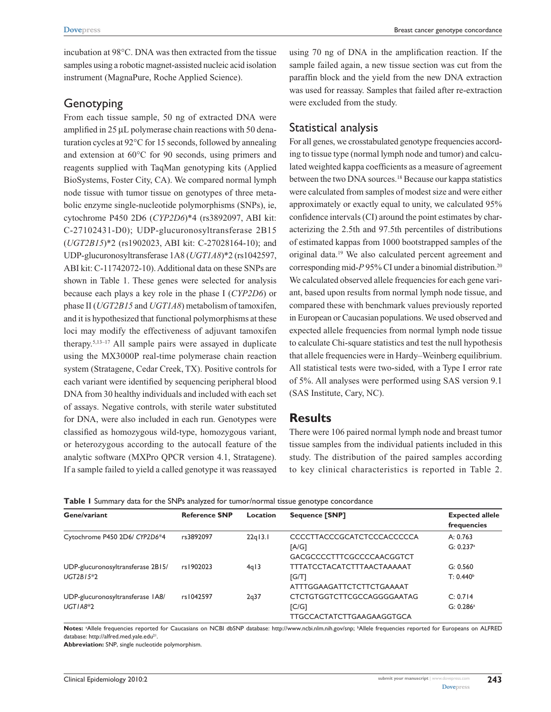incubation at 98°C. DNA was then extracted from the tissue samples using a robotic magnet-assisted nucleic acid isolation instrument (MagnaPure, Roche Applied Science).

#### **Genotyping**

From each tissue sample, 50 ng of extracted DNA were amplified in 25 µL polymerase chain reactions with 50 denaturation cycles at 92°C for 15 seconds, followed by annealing and extension at 60°C for 90 seconds, using primers and reagents supplied with TaqMan genotyping kits (Applied BioSystems, Foster City, CA). We compared normal lymph node tissue with tumor tissue on genotypes of three metabolic enzyme single-nucleotide polymorphisms (SNPs), ie, cytochrome P450 2D6 (*CYP2D6*)\*4 (rs3892097, ABI kit: C-27102431-D0); UDP-glucuronosyltransferase 2B15 (*UGT2B15*)\*2 (rs1902023, ABI kit: C-27028164-10); and UDP-glucuronosyltransferase 1A8 (*UGT1A8*)\*2 (rs1042597, ABI kit: C-11742072-10). Additional data on these SNPs are shown in Table 1. These genes were selected for analysis because each plays a key role in the phase I (*CYP2D6*) or phase II (*UGT2B15* and *UGT1A8*) metabolism of tamoxifen, and it is hypothesized that functional polymorphisms at these loci may modify the effectiveness of adjuvant tamoxifen therapy.5,13–17 All sample pairs were assayed in duplicate using the MX3000P real-time polymerase chain reaction system (Stratagene, Cedar Creek, TX). Positive controls for each variant were identified by sequencing peripheral blood DNA from 30 healthy individuals and included with each set of assays. Negative controls, with sterile water substituted for DNA, were also included in each run. Genotypes were classified as homozygous wild-type, homozygous variant, or heterozygous according to the autocall feature of the analytic software (MXPro QPCR version 4.1, Stratagene). If a sample failed to yield a called genotype it was reassayed

using 70 ng of DNA in the amplification reaction. If the sample failed again, a new tissue section was cut from the paraffin block and the yield from the new DNA extraction was used for reassay. Samples that failed after re-extraction were excluded from the study.

#### Statistical analysis

For all genes, we crosstabulated genotype frequencies according to tissue type (normal lymph node and tumor) and calculated weighted kappa coefficients as a measure of agreement between the two DNA sources.18 Because our kappa statistics were calculated from samples of modest size and were either approximately or exactly equal to unity, we calculated 95% confidence intervals (CI) around the point estimates by characterizing the 2.5th and 97.5th percentiles of distributions of estimated kappas from 1000 bootstrapped samples of the original data.19 We also calculated percent agreement and corresponding mid-P95% CI under a binomial distribution.<sup>20</sup> We calculated observed allele frequencies for each gene variant, based upon results from normal lymph node tissue, and compared these with benchmark values previously reported in European or Caucasian populations. We used observed and expected allele frequencies from normal lymph node tissue to calculate Chi-square statistics and test the null hypothesis that allele frequencies were in Hardy–Weinberg equilibrium. All statistical tests were two-sided, with a Type I error rate of 5%. All analyses were performed using SAS version 9.1 (SAS Institute, Cary, NC).

#### **Results**

There were 106 paired normal lymph node and breast tumor tissue samples from the individual patients included in this study. The distribution of the paired samples according to key clinical characteristics is reported in Table 2.

|  |  |  |  |  | Table I Summary data for the SNPs analyzed for tumor/normal tissue genotype concordance |  |  |  |
|--|--|--|--|--|-----------------------------------------------------------------------------------------|--|--|--|
|--|--|--|--|--|-----------------------------------------------------------------------------------------|--|--|--|

| Gene/variant                      | <b>Reference SNP</b> | Location  | <b>Sequence [SNP]</b>             | <b>Expected allele</b><br>frequencies |  |
|-----------------------------------|----------------------|-----------|-----------------------------------|---------------------------------------|--|
| Cytochrome P450 2D6/ CYP2D6*4     | rs3892097            | $22q$ 3.1 | <b>CCCCTTACCCGCATCTCCCACCCCCA</b> | A: $0.763$                            |  |
|                                   |                      |           | [A/G]                             | $G: 0.237$ <sup>a</sup>               |  |
|                                   |                      |           | GACGCCCCTTTCGCCCCAACGGTCT         |                                       |  |
| UDP-glucuronosyltransferase 2B15/ | rs1902023            | 4q13      | TTTATCCTACATCTTTAACTAAAAAT        | G: 0.560                              |  |
| $UGT2B15*2$                       |                      |           | IG/T1                             | $T: 0.440^b$                          |  |
|                                   |                      |           | ATTTGGAAGATTCTCTTCTGAAAAT         |                                       |  |
| UDP-glucuronosyltransferase IA8/  | rs1042597            | 2q37      | CTCTGTGGTCTTCGCCAGGGGAATAG        | C: 0.714                              |  |
| $UGTIA8*2$                        |                      |           | $IC/G$ ]                          | $G: 0.286$ <sup>a</sup>               |  |
|                                   |                      |           | TTGCCACTATCTTGAAGAAGGTGCA         |                                       |  |

Notes: <sup>a</sup>Allele frequencies reported for Caucasians on NCBI dbSNP database: [http://www.ncbi.nlm.nih.gov/snp;](http://www.ncbi.nlm.nih.gov/snp) <sup>b</sup>Allele frequencies reported for Europeans on ALFRED database: <http://alfred.med.yale.edu><sup>21</sup>.

**Abbreviation:** SNP, single nucleotide polymorphism.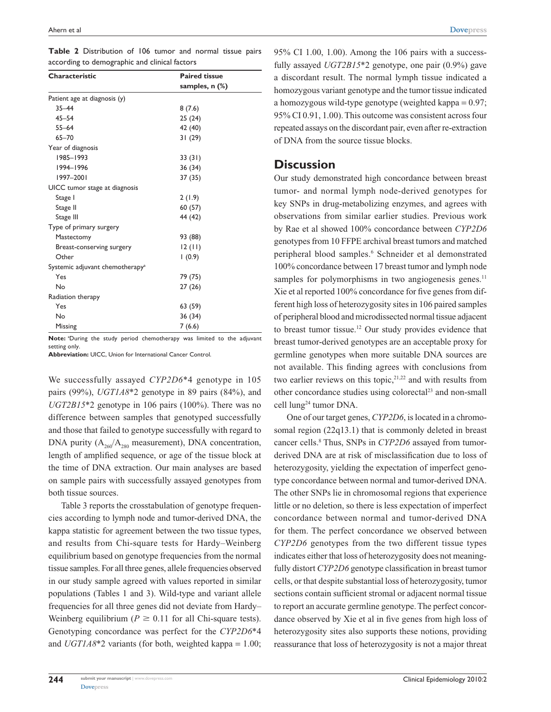|                                               |  | Table 2 Distribution of 106 tumor and normal tissue pairs |  |  |  |  |  |  |  |
|-----------------------------------------------|--|-----------------------------------------------------------|--|--|--|--|--|--|--|
| according to demographic and clinical factors |  |                                                           |  |  |  |  |  |  |  |

| Characteristic                              | <b>Paired tissue</b> |  |  |  |
|---------------------------------------------|----------------------|--|--|--|
|                                             | samples, $n$ $%$     |  |  |  |
| Patient age at diagnosis (y)                |                      |  |  |  |
| $35 - 44$                                   | 8(7.6)               |  |  |  |
| $45 - 54$                                   | 25(24)               |  |  |  |
| $55 - 64$                                   | 42 (40)              |  |  |  |
| $65 - 70$                                   | 31(29)               |  |  |  |
| Year of diagnosis                           |                      |  |  |  |
| 1985-1993                                   | 33(31)               |  |  |  |
| 1994-1996                                   | 36 (34)              |  |  |  |
| 1997-2001                                   | 37 (35)              |  |  |  |
| UICC tumor stage at diagnosis               |                      |  |  |  |
| Stage I                                     | 2(1.9)               |  |  |  |
| Stage II                                    | 60(57)               |  |  |  |
| Stage III                                   | 44 (42)              |  |  |  |
| Type of primary surgery                     |                      |  |  |  |
| Mastectomy                                  | 93 (88)              |  |  |  |
| Breast-conserving surgery                   | 12(11)               |  |  |  |
| Other                                       | (0.9)                |  |  |  |
| Systemic adjuvant chemotherapy <sup>a</sup> |                      |  |  |  |
| Yes                                         | 79 (75)              |  |  |  |
| No                                          | 27(26)               |  |  |  |
| Radiation therapy                           |                      |  |  |  |
| Yes                                         | 63 (59)              |  |  |  |
| No                                          | 36 (34)              |  |  |  |
| Missing                                     | 7(6.6)               |  |  |  |

Note: <sup>a</sup>During the study period chemotherapy was limited to the adjuvant setting only.

**Abbreviation:** UICC, Union for International Cancer Control.

We successfully assayed *CYP2D6*\*4 genotype in 105 pairs (99%), *UGT1A8*\*2 genotype in 89 pairs (84%), and *UGT2B15*\*2 genotype in 106 pairs (100%). There was no difference between samples that genotyped successfully and those that failed to genotype successfully with regard to DNA purity  $(A_{260}/A_{280})$  measurement), DNA concentration, length of amplified sequence, or age of the tissue block at the time of DNA extraction. Our main analyses are based on sample pairs with successfully assayed genotypes from both tissue sources.

Table 3 reports the crosstabulation of genotype frequencies according to lymph node and tumor-derived DNA, the kappa statistic for agreement between the two tissue types, and results from Chi-square tests for Hardy–Weinberg equilibrium based on genotype frequencies from the normal tissue samples. For all three genes, allele frequencies observed in our study sample agreed with values reported in similar populations (Tables 1 and 3). Wild-type and variant allele frequencies for all three genes did not deviate from Hardy– Weinberg equilibrium ( $P \ge 0.11$  for all Chi-square tests). Genotyping concordance was perfect for the *CYP2D6*\*4 and *UGT1A8*\*2 variants (for both, weighted kappa = 1.00; 95% CI 1.00, 1.00). Among the 106 pairs with a successfully assayed *UGT2B15*\*2 genotype, one pair (0.9%) gave a discordant result. The normal lymph tissue indicated a homozygous variant genotype and the tumor tissue indicated a homozygous wild-type genotype (weighted kappa = 0.97; 95% CI 0.91, 1.00). This outcome was consistent across four repeated assays on the discordant pair, even after re-extraction of DNA from the source tissue blocks.

#### **Discussion**

Our study demonstrated high concordance between breast tumor- and normal lymph node-derived genotypes for key SNPs in drug-metabolizing enzymes, and agrees with observations from similar earlier studies. Previous work by Rae et al showed 100% concordance between *CYP2D6* genotypes from 10 FFPE archival breast tumors and matched peripheral blood samples.<sup>6</sup> Schneider et al demonstrated 100% concordance between 17 breast tumor and lymph node samples for polymorphisms in two angiogenesis genes. $11$ Xie et al reported 100% concordance for five genes from different high loss of heterozygosity sites in 106 paired samples of peripheral blood and microdissected normal tissue adjacent to breast tumor tissue.12 Our study provides evidence that breast tumor-derived genotypes are an acceptable proxy for germline genotypes when more suitable DNA sources are not available. This finding agrees with conclusions from two earlier reviews on this topic,<sup>21,22</sup> and with results from other concordance studies using colorectal<sup>23</sup> and non-small cell lung24 tumor DNA.

One of our target genes, *CYP2D6*, is located in a chromosomal region (22q13.1) that is commonly deleted in breast cancer cells.<sup>8</sup> Thus, SNPs in *CYP2D6* assayed from tumorderived DNA are at risk of misclassification due to loss of heterozygosity, yielding the expectation of imperfect genotype concordance between normal and tumor-derived DNA. The other SNPs lie in chromosomal regions that experience little or no deletion, so there is less expectation of imperfect concordance between normal and tumor-derived DNA for them. The perfect concordance we observed between *CYP2D6* genotypes from the two different tissue types indicates either that loss of heterozygosity does not meaningfully distort *CYP2D6* genotype classification in breast tumor cells, or that despite substantial loss of heterozygosity, tumor sections contain sufficient stromal or adjacent normal tissue to report an accurate germline genotype. The perfect concordance observed by Xie et al in five genes from high loss of heterozygosity sites also supports these notions, providing reassurance that loss of heterozygosity is not a major threat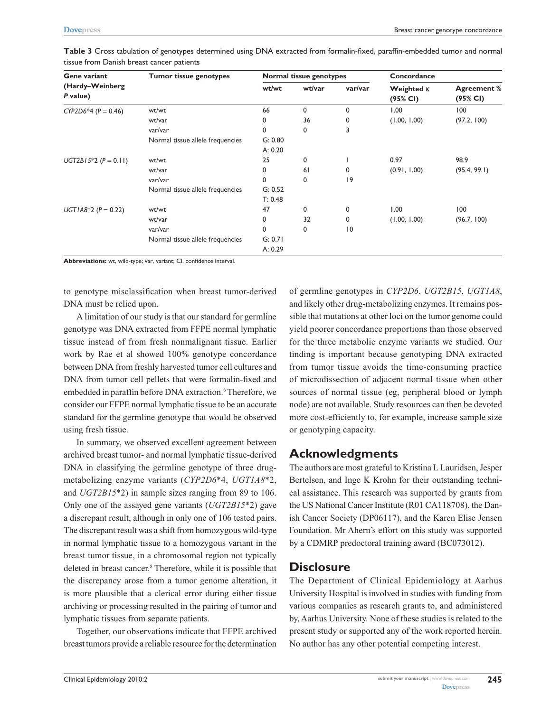| Gene variant                | <b>Tumor tissue genotypes</b>    | Normal tissue genotypes |        |         | Concordance                   |                                |
|-----------------------------|----------------------------------|-------------------------|--------|---------|-------------------------------|--------------------------------|
| (Hardy-Weinberg<br>P value) |                                  | wt/wt                   | wt/var | var/var | Weighted <b>K</b><br>(95% CI) | <b>Agreement %</b><br>(95% CI) |
| CYP2D6*4 ( $P = 0.46$ )     | wt/wt                            | 66                      | 0      | 0       | 1.00                          | 100                            |
|                             | wt/var                           | 0                       | 36     | 0       | (1.00, 1.00)                  | (97.2, 100)                    |
|                             | var/var                          | 0                       | 0      | 3       |                               |                                |
|                             | Normal tissue allele frequencies | G: 0.80                 |        |         |                               |                                |
|                             |                                  | A: 0.20                 |        |         |                               |                                |
| $UGT2B15*2 (P = 0.11)$      | wt/wt                            | 25                      | 0      |         | 0.97                          | 98.9                           |
|                             | wt/var                           | 0                       | 61     | 0       | (0.91, 1.00)                  | (95.4, 99.1)                   |
|                             | var/var                          | $\mathbf 0$             | 0      | 19      |                               |                                |
|                             | Normal tissue allele frequencies | G: 0.52                 |        |         |                               |                                |
|                             |                                  | T: 0.48                 |        |         |                               |                                |
| UGT1A8*2 ( $P = 0.22$ )     | wt/wt                            | 47                      | 0      | 0       | 1.00                          | 100                            |
|                             | wt/var                           | 0                       | 32     | 0       | (1.00, 1.00)                  | (96.7, 100)                    |
|                             | var/var                          | 0                       | 0      | 10      |                               |                                |
|                             | Normal tissue allele frequencies | G: 0.71                 |        |         |                               |                                |
|                             |                                  | A: 0.29                 |        |         |                               |                                |

**Table 3** Cross tabulation of genotypes determined using DNA extracted from formalin-fixed, paraffin-embedded tumor and normal tissue from Danish breast cancer patients

**Abbreviations:** wt, wild-type; var, variant; CI, confidence interval.

to genotype misclassification when breast tumor-derived DNA must be relied upon.

A limitation of our study is that our standard for germline genotype was DNA extracted from FFPE normal lymphatic tissue instead of from fresh nonmalignant tissue. Earlier work by Rae et al showed 100% genotype concordance between DNA from freshly harvested tumor cell cultures and DNA from tumor cell pellets that were formalin-fixed and embedded in paraffin before DNA extraction.<sup>6</sup> Therefore, we consider our FFPE normal lymphatic tissue to be an accurate standard for the germline genotype that would be observed using fresh tissue.

In summary, we observed excellent agreement between archived breast tumor- and normal lymphatic tissue-derived DNA in classifying the germline genotype of three drugmetabolizing enzyme variants (*CYP2D6*\*4, *UGT1A8*\*2, and *UGT2B15*\*2) in sample sizes ranging from 89 to 106. Only one of the assayed gene variants (*UGT2B15*\*2) gave a discrepant result, although in only one of 106 tested pairs. The discrepant result was a shift from homozygous wild-type in normal lymphatic tissue to a homozygous variant in the breast tumor tissue, in a chromosomal region not typically deleted in breast cancer.8 Therefore, while it is possible that the discrepancy arose from a tumor genome alteration, it is more plausible that a clerical error during either tissue archiving or processing resulted in the pairing of tumor and lymphatic tissues from separate patients.

Together, our observations indicate that FFPE archived breast tumors provide a reliable resource for the determination

of germline genotypes in *CYP2D6*, *UGT2B15*, *UGT1A8*, and likely other drug-metabolizing enzymes. It remains possible that mutations at other loci on the tumor genome could yield poorer concordance proportions than those observed for the three metabolic enzyme variants we studied. Our finding is important because genotyping DNA extracted from tumor tissue avoids the time-consuming practice of microdissection of adjacent normal tissue when other sources of normal tissue (eg, peripheral blood or lymph node) are not available. Study resources can then be devoted more cost-efficiently to, for example, increase sample size or genotyping capacity.

## **Acknowledgments**

The authors are most grateful to Kristina L Lauridsen, Jesper Bertelsen, and Inge K Krohn for their outstanding technical assistance. This research was supported by grants from the US National Cancer Institute (R01 CA118708), the Danish Cancer Society (DP06117), and the Karen Elise Jensen Foundation. Mr Ahern's effort on this study was supported by a CDMRP predoctoral training award (BC073012).

### **Disclosure**

The Department of Clinical Epidemiology at Aarhus University Hospital is involved in studies with funding from various companies as research grants to, and administered by, Aarhus University. None of these studies is related to the present study or supported any of the work reported herein. No author has any other potential competing interest.